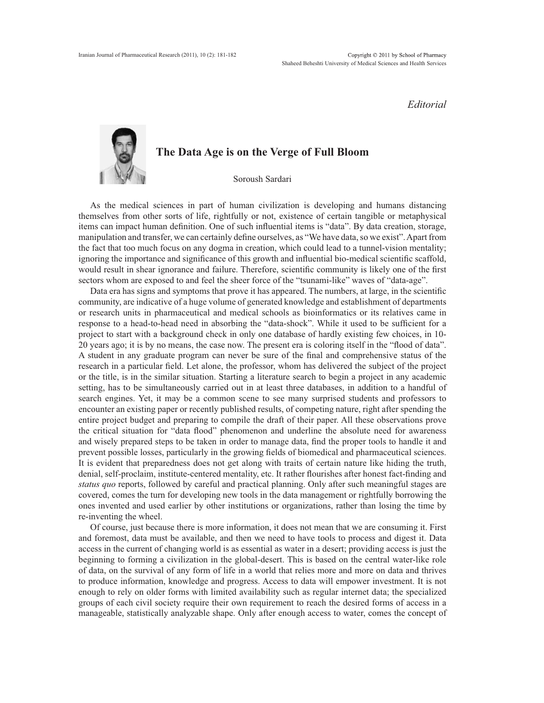*Editorial*

## **The Data Age is on the Verge of Full Bloom** Soroush Sardari

As the medical sciences in part of human civilization is developing and humans distancing themselves from other sorts of life, rightfully or not, existence of certain tangible or metaphysical items can impact human definition. One of such influential items is "data". By data creation, storage, manipulation and transfer, we can certainly define ourselves, as "We have data, so we exist". Apart from the fact that too much focus on any dogma in creation, which could lead to a tunnel-vision mentality; ignoring the importance and significance of this growth and influential bio-medical scientific scaffold, would result in shear ignorance and failure. Therefore, scientific community is likely one of the first sectors whom are exposed to and feel the sheer force of the "tsunami-like" waves of "data-age".

Data era has signs and symptoms that prove it has appeared. The numbers, at large, in the scientific community, are indicative of a huge volume of generated knowledge and establishment of departments or research units in pharmaceutical and medical schools as bioinformatics or its relatives came in response to a head-to-head need in absorbing the "data-shock". While it used to be sufficient for a project to start with a background check in only one database of hardly existing few choices, in 10- 20 years ago; it is by no means, the case now. The present era is coloring itself in the "flood of data". A student in any graduate program can never be sure of the final and comprehensive status of the research in a particular field. Let alone, the professor, whom has delivered the subject of the project or the title, is in the similar situation. Starting a literature search to begin a project in any academic setting, has to be simultaneously carried out in at least three databases, in addition to a handful of search engines. Yet, it may be a common scene to see many surprised students and professors to encounter an existing paper or recently published results, of competing nature, right after spending the entire project budget and preparing to compile the draft of their paper. All these observations prove the critical situation for "data flood" phenomenon and underline the absolute need for awareness and wisely prepared steps to be taken in order to manage data, find the proper tools to handle it and prevent possible losses, particularly in the growing fields of biomedical and pharmaceutical sciences. It is evident that preparedness does not get along with traits of certain nature like hiding the truth, denial, self-proclaim, institute-centered mentality, etc. It rather flourishes after honest fact-finding and *status quo* reports, followed by careful and practical planning. Only after such meaningful stages are covered, comes the turn for developing new tools in the data management or rightfully borrowing the ones invented and used earlier by other institutions or organizations, rather than losing the time by re-inventing the wheel.

Of course, just because there is more information, it does not mean that we are consuming it. First and foremost, data must be available, and then we need to have tools to process and digest it. Data access in the current of changing world is as essential as water in a desert; providing access is just the beginning to forming a civilization in the global-desert. This is based on the central water-like role of data, on the survival of any form of life in a world that relies more and more on data and thrives to produce information, knowledge and progress. Access to data will empower investment. It is not enough to rely on older forms with limited availability such as regular internet data; the specialized groups of each civil society require their own requirement to reach the desired forms of access in a manageable, statistically analyzable shape. Only after enough access to water, comes the concept of